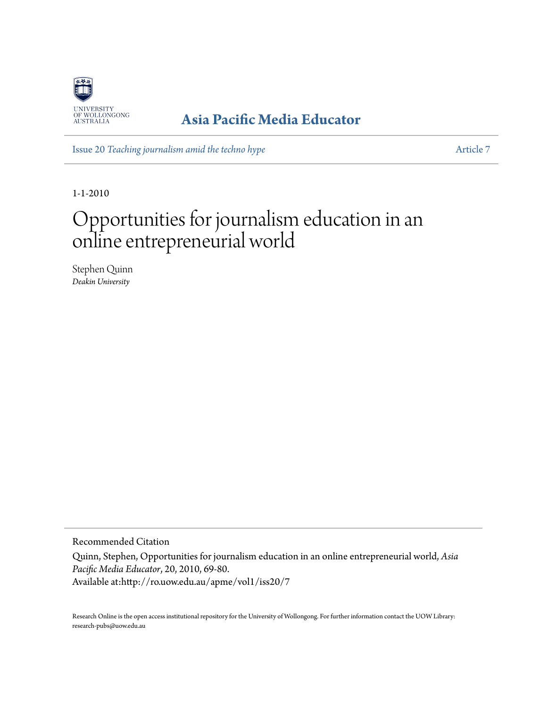

### **[Asia Pacific Media Educator](http://ro.uow.edu.au/apme)**

Issue 20 *[Teaching journalism amid the techno hype](http://ro.uow.edu.au/apme/vol1/iss20)* [Article 7](http://ro.uow.edu.au/apme/vol1/iss20/7)

1-1-2010

# Opportunities for journalism education in an online entrepreneurial world

Stephen Quinn *Deakin University*

Recommended Citation

Quinn, Stephen, Opportunities for journalism education in an online entrepreneurial world, *Asia Pacific Media Educator*, 20, 2010, 69-80. Available at:http://ro.uow.edu.au/apme/vol1/iss20/7

Research Online is the open access institutional repository for the University of Wollongong. For further information contact the UOW Library: research-pubs@uow.edu.au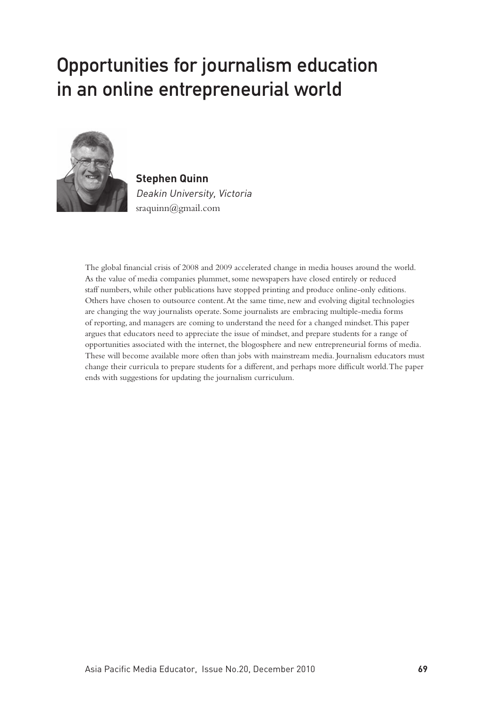## Opportunities for journalism education in an online entrepreneurial world



**Stephen Quinn** Deakin University, Victoria sraquinn@gmail.com

The global financial crisis of 2008 and 2009 accelerated change in media houses around the world. As the value of media companies plummet, some newspapers have closed entirely or reduced staff numbers, while other publications have stopped printing and produce online-only editions. Others have chosen to outsource content. At the same time, new and evolving digital technologies are changing the way journalists operate. Some journalists are embracing multiple-media forms of reporting, and managers are coming to understand the need for a changed mindset. This paper argues that educators need to appreciate the issue of mindset, and prepare students for a range of opportunities associated with the internet, the blogosphere and new entrepreneurial forms of media. These will become available more often than jobs with mainstream media. Journalism educators must change their curricula to prepare students for a different, and perhaps more difficult world. The paper ends with suggestions for updating the journalism curriculum.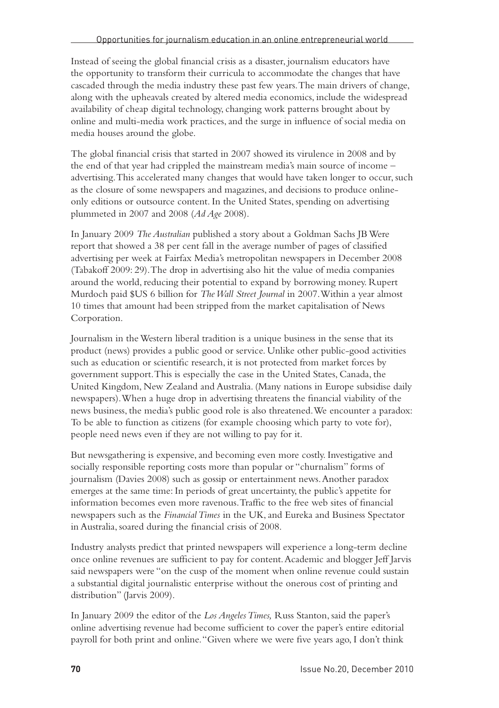Instead of seeing the global financial crisis as a disaster, journalism educators have the opportunity to transform their curricula to accommodate the changes that have cascaded through the media industry these past few years. The main drivers of change, along with the upheavals created by altered media economics, include the widespread availability of cheap digital technology, changing work patterns brought about by online and multi-media work practices, and the surge in influence of social media on media houses around the globe.

The global financial crisis that started in 2007 showed its virulence in 2008 and by the end of that year had crippled the mainstream media's main source of income – advertising. This accelerated many changes that would have taken longer to occur, such as the closure of some newspapers and magazines, and decisions to produce onlineonly editions or outsource content. In the United States, spending on advertising plummeted in 2007 and 2008 (*Ad Age* 2008).

In January 2009 *The Australian* published a story about a Goldman Sachs JB Were report that showed a 38 per cent fall in the average number of pages of classified advertising per week at Fairfax Media's metropolitan newspapers in December 2008 (Tabakoff 2009: 29). The drop in advertising also hit the value of media companies around the world, reducing their potential to expand by borrowing money. Rupert Murdoch paid \$US 6 billion for *The Wall Street Journal* in 2007. Within a year almost 10 times that amount had been stripped from the market capitalisation of News Corporation.

Journalism in the Western liberal tradition is a unique business in the sense that its product (news) provides a public good or service. Unlike other public-good activities such as education or scientific research, it is not protected from market forces by government support. This is especially the case in the United States, Canada, the United Kingdom, New Zealand and Australia. (Many nations in Europe subsidise daily newspapers). When a huge drop in advertising threatens the financial viability of the news business, the media's public good role is also threatened. We encounter a paradox: To be able to function as citizens (for example choosing which party to vote for), people need news even if they are not willing to pay for it.

But newsgathering is expensive, and becoming even more costly. Investigative and socially responsible reporting costs more than popular or "churnalism" forms of journalism (Davies 2008) such as gossip or entertainment news. Another paradox emerges at the same time: In periods of great uncertainty, the public's appetite for information becomes even more ravenous. Traffic to the free web sites of financial newspapers such as the *Financial Times* in the UK, and Eureka and Business Spectator in Australia, soared during the financial crisis of 2008.

Industry analysts predict that printed newspapers will experience a long-term decline once online revenues are sufficient to pay for content. Academic and blogger Jeff Jarvis said newspapers were "on the cusp of the moment when online revenue could sustain a substantial digital journalistic enterprise without the onerous cost of printing and distribution" (Jarvis 2009).

In January 2009 the editor of the *Los Angeles Times,* Russ Stanton, said the paper's online advertising revenue had become sufficient to cover the paper's entire editorial payroll for both print and online. "Given where we were five years ago, I don't think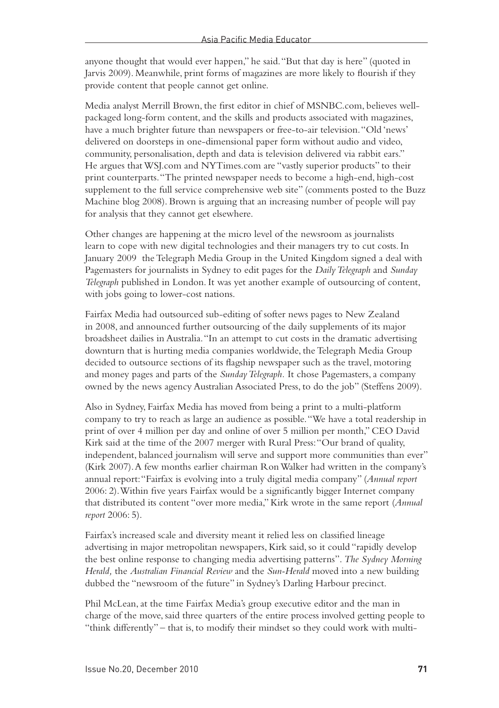anyone thought that would ever happen," he said. "But that day is here" (quoted in Jarvis 2009). Meanwhile, print forms of magazines are more likely to flourish if they provide content that people cannot get online.

Media analyst Merrill Brown, the first editor in chief of MSNBC.com, believes wellpackaged long-form content, and the skills and products associated with magazines, have a much brighter future than newspapers or free-to-air television. "Old 'news' delivered on doorsteps in one-dimensional paper form without audio and video, community, personalisation, depth and data is television delivered via rabbit ears." He argues that WSJ.com and NYTimes.com are "vastly superior products" to their print counterparts. "The printed newspaper needs to become a high-end, high-cost supplement to the full service comprehensive web site" (comments posted to the Buzz Machine blog 2008). Brown is arguing that an increasing number of people will pay for analysis that they cannot get elsewhere.

Other changes are happening at the micro level of the newsroom as journalists learn to cope with new digital technologies and their managers try to cut costs. In January 2009 the Telegraph Media Group in the United Kingdom signed a deal with Pagemasters for journalists in Sydney to edit pages for the *Daily Telegraph* and *Sunday Telegraph* published in London. It was yet another example of outsourcing of content, with jobs going to lower-cost nations.

Fairfax Media had outsourced sub-editing of softer news pages to New Zealand in 2008, and announced further outsourcing of the daily supplements of its major broadsheet dailies in Australia. "In an attempt to cut costs in the dramatic advertising downturn that is hurting media companies worldwide, the Telegraph Media Group decided to outsource sections of its flagship newspaper such as the travel, motoring and money pages and parts of the *Sunday Telegraph.* It chose Pagemasters, a company owned by the news agency Australian Associated Press, to do the job" (Steffens 2009).

Also in Sydney, Fairfax Media has moved from being a print to a multi-platform company to try to reach as large an audience as possible. "We have a total readership in print of over 4 million per day and online of over 5 million per month," CEO David Kirk said at the time of the 2007 merger with Rural Press: "Our brand of quality, independent, balanced journalism will serve and support more communities than ever" (Kirk 2007). A few months earlier chairman Ron Walker had written in the company's annual report: "Fairfax is evolving into a truly digital media company" (*Annual report* 2006: 2). Within five years Fairfax would be a significantly bigger Internet company that distributed its content "over more media," Kirk wrote in the same report (*Annual report* 2006: 5).

Fairfax's increased scale and diversity meant it relied less on classified lineage advertising in major metropolitan newspapers, Kirk said, so it could "rapidly develop the best online response to changing media advertising patterns". *The Sydney Morning Herald,* the *Australian Financial Review* and the *Sun-Herald* moved into a new building dubbed the "newsroom of the future" in Sydney's Darling Harbour precinct.

Phil McLean, at the time Fairfax Media's group executive editor and the man in charge of the move, said three quarters of the entire process involved getting people to "think differently" – that is, to modify their mindset so they could work with multi-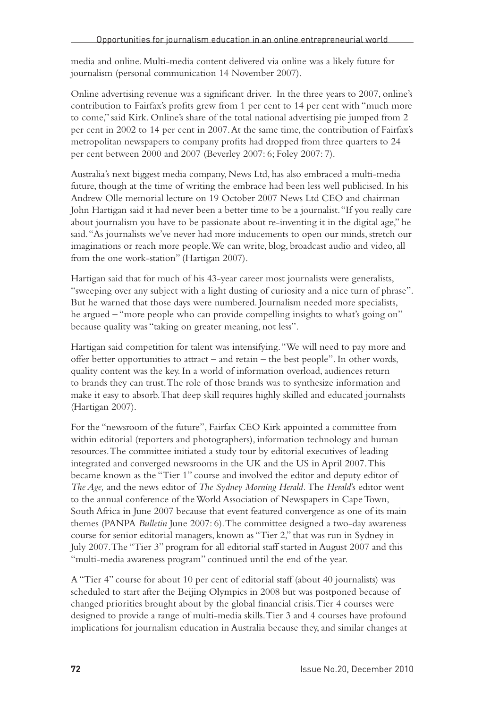media and online. Multi-media content delivered via online was a likely future for journalism (personal communication 14 November 2007).

Online advertising revenue was a significant driver. In the three years to 2007, online's contribution to Fairfax's profits grew from 1 per cent to 14 per cent with "much more to come," said Kirk. Online's share of the total national advertising pie jumped from 2 per cent in 2002 to 14 per cent in 2007. At the same time, the contribution of Fairfax's metropolitan newspapers to company profits had dropped from three quarters to 24 per cent between 2000 and 2007 (Beverley 2007: 6; Foley 2007: 7).

Australia's next biggest media company, News Ltd, has also embraced a multi-media future, though at the time of writing the embrace had been less well publicised. In his Andrew Olle memorial lecture on 19 October 2007 News Ltd CEO and chairman John Hartigan said it had never been a better time to be a journalist. "If you really care about journalism you have to be passionate about re-inventing it in the digital age," he said. "As journalists we've never had more inducements to open our minds, stretch our imaginations or reach more people. We can write, blog, broadcast audio and video, all from the one work-station" (Hartigan 2007).

Hartigan said that for much of his 43-year career most journalists were generalists, "sweeping over any subject with a light dusting of curiosity and a nice turn of phrase". But he warned that those days were numbered. Journalism needed more specialists, he argued – "more people who can provide compelling insights to what's going on" because quality was "taking on greater meaning, not less".

Hartigan said competition for talent was intensifying. "We will need to pay more and offer better opportunities to attract – and retain – the best people". In other words, quality content was the key. In a world of information overload, audiences return to brands they can trust. The role of those brands was to synthesize information and make it easy to absorb. That deep skill requires highly skilled and educated journalists (Hartigan 2007).

For the "newsroom of the future", Fairfax CEO Kirk appointed a committee from within editorial (reporters and photographers), information technology and human resources. The committee initiated a study tour by editorial executives of leading integrated and converged newsrooms in the UK and the US in April 2007. This became known as the "Tier 1" course and involved the editor and deputy editor of *The Age,* and the news editor of *The Sydney Morning Herald.* The *Herald*'s editor went to the annual conference of the World Association of Newspapers in Cape Town, South Africa in June 2007 because that event featured convergence as one of its main themes (PANPA *Bulletin* June 2007: 6). The committee designed a two-day awareness course for senior editorial managers, known as "Tier 2," that was run in Sydney in July 2007. The "Tier 3" program for all editorial staff started in August 2007 and this "multi-media awareness program" continued until the end of the year.

A "Tier 4" course for about 10 per cent of editorial staff (about 40 journalists) was scheduled to start after the Beijing Olympics in 2008 but was postponed because of changed priorities brought about by the global financial crisis. Tier 4 courses were designed to provide a range of multi-media skills. Tier 3 and 4 courses have profound implications for journalism education in Australia because they, and similar changes at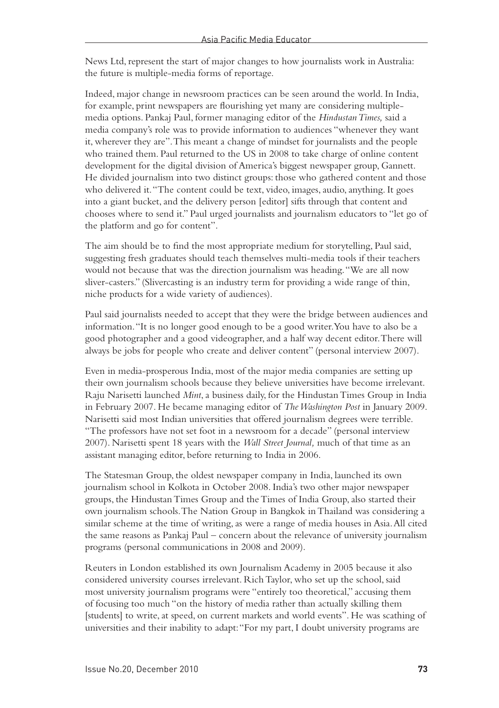News Ltd, represent the start of major changes to how journalists work in Australia: the future is multiple-media forms of reportage.

Indeed, major change in newsroom practices can be seen around the world. In India, for example, print newspapers are flourishing yet many are considering multiplemedia options. Pankaj Paul, former managing editor of the *Hindustan Times,* said a media company's role was to provide information to audiences "whenever they want it, wherever they are". This meant a change of mindset for journalists and the people who trained them. Paul returned to the US in 2008 to take charge of online content development for the digital division of America's biggest newspaper group, Gannett. He divided journalism into two distinct groups: those who gathered content and those who delivered it. "The content could be text, video, images, audio, anything. It goes into a giant bucket, and the delivery person [editor] sifts through that content and chooses where to send it." Paul urged journalists and journalism educators to "let go of the platform and go for content".

The aim should be to find the most appropriate medium for storytelling, Paul said, suggesting fresh graduates should teach themselves multi-media tools if their teachers would not because that was the direction journalism was heading. "We are all now sliver-casters." (Slivercasting is an industry term for providing a wide range of thin, niche products for a wide variety of audiences).

Paul said journalists needed to accept that they were the bridge between audiences and information. "It is no longer good enough to be a good writer. You have to also be a good photographer and a good videographer, and a half way decent editor. There will always be jobs for people who create and deliver content" (personal interview 2007).

Even in media-prosperous India, most of the major media companies are setting up their own journalism schools because they believe universities have become irrelevant. Raju Narisetti launched *Mint*, a business daily, for the Hindustan Times Group in India in February 2007. He became managing editor of *The Washington Post* in January 2009. Narisetti said most Indian universities that offered journalism degrees were terrible. "The professors have not set foot in a newsroom for a decade" (personal interview 2007). Narisetti spent 18 years with the *Wall Street Journal,* much of that time as an assistant managing editor, before returning to India in 2006.

The Statesman Group, the oldest newspaper company in India, launched its own journalism school in Kolkota in October 2008. India's two other major newspaper groups, the Hindustan Times Group and the Times of India Group, also started their own journalism schools. The Nation Group in Bangkok in Thailand was considering a similar scheme at the time of writing, as were a range of media houses in Asia. All cited the same reasons as Pankaj Paul – concern about the relevance of university journalism programs (personal communications in 2008 and 2009).

Reuters in London established its own Journalism Academy in 2005 because it also considered university courses irrelevant. Rich Taylor, who set up the school, said most university journalism programs were "entirely too theoretical," accusing them of focusing too much "on the history of media rather than actually skilling them [students] to write, at speed, on current markets and world events". He was scathing of universities and their inability to adapt: "For my part, I doubt university programs are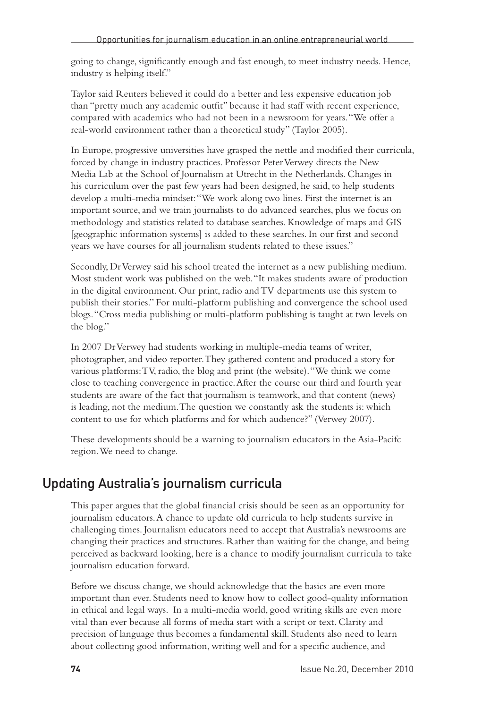going to change, significantly enough and fast enough, to meet industry needs. Hence, industry is helping itself."

Taylor said Reuters believed it could do a better and less expensive education job than "pretty much any academic outfit" because it had staff with recent experience, compared with academics who had not been in a newsroom for years. "We offer a real-world environment rather than a theoretical study" (Taylor 2005).

In Europe, progressive universities have grasped the nettle and modified their curricula, forced by change in industry practices. Professor Peter Verwey directs the New Media Lab at the School of Journalism at Utrecht in the Netherlands. Changes in his curriculum over the past few years had been designed, he said, to help students develop a multi-media mindset: "We work along two lines. First the internet is an important source, and we train journalists to do advanced searches, plus we focus on methodology and statistics related to database searches. Knowledge of maps and GIS [geographic information systems] is added to these searches. In our first and second years we have courses for all journalism students related to these issues."

Secondly, Dr Verwey said his school treated the internet as a new publishing medium. Most student work was published on the web. "It makes students aware of production in the digital environment. Our print, radio and TV departments use this system to publish their stories." For multi-platform publishing and convergence the school used blogs. "Cross media publishing or multi-platform publishing is taught at two levels on the blog."

In 2007 Dr Verwey had students working in multiple-media teams of writer, photographer, and video reporter. They gathered content and produced a story for various platforms: TV, radio, the blog and print (the website). "We think we come close to teaching convergence in practice. After the course our third and fourth year students are aware of the fact that journalism is teamwork, and that content (news) is leading, not the medium. The question we constantly ask the students is: which content to use for which platforms and for which audience?" (Verwey 2007).

These developments should be a warning to journalism educators in the Asia-Pacifc region. We need to change.

#### Updating Australia's journalism curricula

This paper argues that the global financial crisis should be seen as an opportunity for journalism educators. A chance to update old curricula to help students survive in challenging times. Journalism educators need to accept that Australia's newsrooms are changing their practices and structures. Rather than waiting for the change, and being perceived as backward looking, here is a chance to modify journalism curricula to take journalism education forward.

Before we discuss change, we should acknowledge that the basics are even more important than ever. Students need to know how to collect good-quality information in ethical and legal ways. In a multi-media world, good writing skills are even more vital than ever because all forms of media start with a script or text. Clarity and precision of language thus becomes a fundamental skill. Students also need to learn about collecting good information, writing well and for a specific audience, and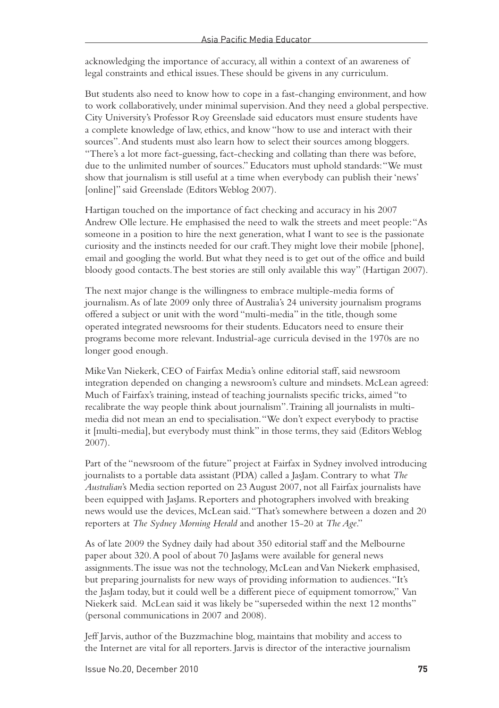acknowledging the importance of accuracy, all within a context of an awareness of legal constraints and ethical issues. These should be givens in any curriculum.

But students also need to know how to cope in a fast-changing environment, and how to work collaboratively, under minimal supervision. And they need a global perspective. City University's Professor Roy Greenslade said educators must ensure students have a complete knowledge of law, ethics, and know "how to use and interact with their sources". And students must also learn how to select their sources among bloggers. "There's a lot more fact-guessing, fact-checking and collating than there was before, due to the unlimited number of sources." Educators must uphold standards: "We must show that journalism is still useful at a time when everybody can publish their 'news' [online]" said Greenslade (Editors Weblog 2007).

Hartigan touched on the importance of fact checking and accuracy in his 2007 Andrew Olle lecture. He emphasised the need to walk the streets and meet people: "As someone in a position to hire the next generation, what I want to see is the passionate curiosity and the instincts needed for our craft. They might love their mobile [phone], email and googling the world. But what they need is to get out of the office and build bloody good contacts. The best stories are still only available this way" (Hartigan 2007).

The next major change is the willingness to embrace multiple-media forms of journalism. As of late 2009 only three of Australia's 24 university journalism programs offered a subject or unit with the word "multi-media" in the title, though some operated integrated newsrooms for their students. Educators need to ensure their programs become more relevant. Industrial-age curricula devised in the 1970s are no longer good enough.

Mike Van Niekerk, CEO of Fairfax Media's online editorial staff, said newsroom integration depended on changing a newsroom's culture and mindsets. McLean agreed: Much of Fairfax's training, instead of teaching journalists specific tricks, aimed "to recalibrate the way people think about journalism". Training all journalists in multimedia did not mean an end to specialisation. "We don't expect everybody to practise it [multi-media], but everybody must think" in those terms, they said (Editors Weblog 2007).

Part of the "newsroom of the future" project at Fairfax in Sydney involved introducing journalists to a portable data assistant (PDA) called a JasJam. Contrary to what *The Australian*'s Media section reported on 23 August 2007, not all Fairfax journalists have been equipped with JasJams. Reporters and photographers involved with breaking news would use the devices, McLean said. "That's somewhere between a dozen and 20 reporters at *The Sydney Morning Herald* and another 15-20 at *The Age*."

As of late 2009 the Sydney daily had about 350 editorial staff and the Melbourne paper about 320. A pool of about 70 JasJams were available for general news assignments. The issue was not the technology, McLean and Van Niekerk emphasised, but preparing journalists for new ways of providing information to audiences. "It's the JasJam today, but it could well be a different piece of equipment tomorrow," Van Niekerk said. McLean said it was likely be "superseded within the next 12 months" (personal communications in 2007 and 2008).

Jeff Jarvis, author of the Buzzmachine blog, maintains that mobility and access to the Internet are vital for all reporters. Jarvis is director of the interactive journalism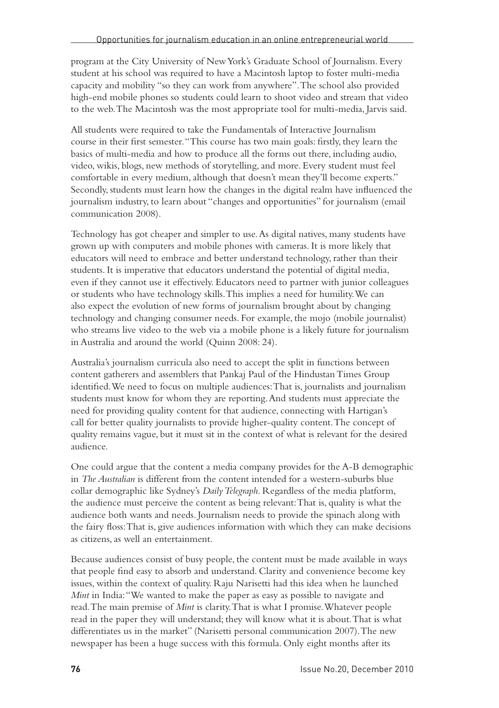program at the City University of New York's Graduate School of Journalism. Every student at his school was required to have a Macintosh laptop to foster multi-media capacity and mobility "so they can work from anywhere". The school also provided high-end mobile phones so students could learn to shoot video and stream that video to the web. The Macintosh was the most appropriate tool for multi-media, Jarvis said.

All students were required to take the Fundamentals of Interactive Journalism course in their first semester. "This course has two main goals: firstly, they learn the basics of multi-media and how to produce all the forms out there, including audio, video, wikis, blogs, new methods of storytelling, and more. Every student must feel comfortable in every medium, although that doesn't mean they'll become experts." Secondly, students must learn how the changes in the digital realm have influenced the journalism industry, to learn about "changes and opportunities" for journalism (email communication 2008).

Technology has got cheaper and simpler to use. As digital natives, many students have grown up with computers and mobile phones with cameras. It is more likely that educators will need to embrace and better understand technology, rather than their students. It is imperative that educators understand the potential of digital media, even if they cannot use it effectively. Educators need to partner with junior colleagues or students who have technology skills. This implies a need for humility. We can also expect the evolution of new forms of journalism brought about by changing technology and changing consumer needs. For example, the mojo (mobile journalist) who streams live video to the web via a mobile phone is a likely future for journalism in Australia and around the world (Quinn 2008: 24).

Australia's journalism curricula also need to accept the split in functions between content gatherers and assemblers that Pankaj Paul of the Hindustan Times Group identified. We need to focus on multiple audiences: That is, journalists and journalism students must know for whom they are reporting. And students must appreciate the need for providing quality content for that audience, connecting with Hartigan's call for better quality journalists to provide higher-quality content. The concept of quality remains vague, but it must sit in the context of what is relevant for the desired audience.

One could argue that the content a media company provides for the A-B demographic in *The Australian* is different from the content intended for a western-suburbs blue collar demographic like Sydney's *Daily Telegraph*. Regardless of the media platform, the audience must perceive the content as being relevant: That is, quality is what the audience both wants and needs. Journalism needs to provide the spinach along with the fairy floss: That is, give audiences information with which they can make decisions as citizens, as well an entertainment.

Because audiences consist of busy people, the content must be made available in ways that people find easy to absorb and understand. Clarity and convenience become key issues, within the context of quality. Raju Narisetti had this idea when he launched *Mint* in India: "We wanted to make the paper as easy as possible to navigate and read. The main premise of *Mint* is clarity. That is what I promise. Whatever people read in the paper they will understand; they will know what it is about. That is what differentiates us in the market" (Narisetti personal communication 2007). The new newspaper has been a huge success with this formula. Only eight months after its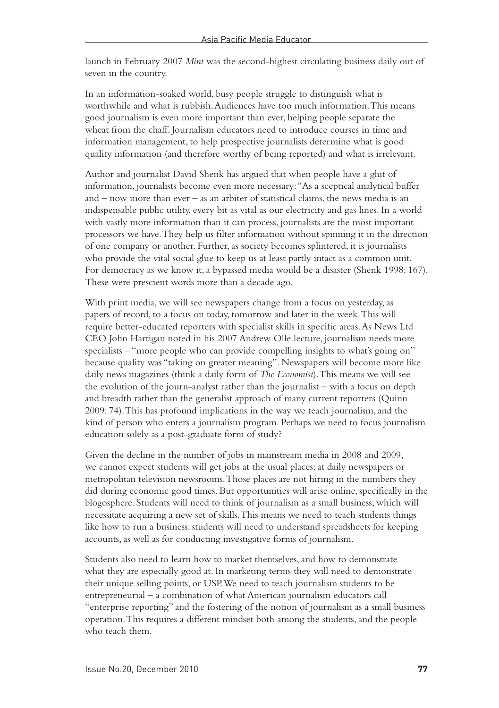launch in February 2007 *Mint* was the second-highest circulating business daily out of seven in the country.

In an information-soaked world, busy people struggle to distinguish what is worthwhile and what is rubbish. Audiences have too much information. This means good journalism is even more important than ever, helping people separate the wheat from the chaff. Journalism educators need to introduce courses in time and information management, to help prospective journalists determine what is good quality information (and therefore worthy of being reported) and what is irrelevant.

Author and journalist David Shenk has argued that when people have a glut of information, journalists become even more necessary: "As a sceptical analytical buffer and – now more than ever – as an arbiter of statistical claims, the news media is an indispensable public utility, every bit as vital as our electricity and gas lines. In a world with vastly more information than it can process, journalists are the most important processors we have. They help us filter information without spinning it in the direction of one company or another. Further, as society becomes splintered, it is journalists who provide the vital social glue to keep us at least partly intact as a common unit. For democracy as we know it, a bypassed media would be a disaster (Shenk 1998: 167). These were prescient words more than a decade ago.

With print media, we will see newspapers change from a focus on yesterday, as papers of record, to a focus on today, tomorrow and later in the week. This will require better-educated reporters with specialist skills in specific areas. As News Ltd CEO John Hartigan noted in his 2007 Andrew Olle lecture, journalism needs more specialists – "more people who can provide compelling insights to what's going on" because quality was "taking on greater meaning". Newspapers will become more like daily news magazines (think a daily form of *The Economist*). This means we will see the evolution of the journ-analyst rather than the journalist – with a focus on depth and breadth rather than the generalist approach of many current reporters (Quinn 2009: 74). This has profound implications in the way we teach journalism, and the kind of person who enters a journalism program. Perhaps we need to focus journalism education solely as a post-graduate form of study?

Given the decline in the number of jobs in mainstream media in 2008 and 2009, we cannot expect students will get jobs at the usual places: at daily newspapers or metropolitan television newsrooms. Those places are not hiring in the numbers they did during economic good times. But opportunities will arise online, specifically in the blogosphere. Students will need to think of journalism as a small business, which will necessitate acquiring a new set of skills. This means we need to teach students things like how to run a business: students will need to understand spreadsheets for keeping accounts, as well as for conducting investigative forms of journalism.

Students also need to learn how to market themselves, and how to demonstrate what they are especially good at. In marketing terms they will need to demonstrate their unique selling points, or USP. We need to teach journalism students to be entrepreneurial – a combination of what American journalism educators call "enterprise reporting" and the fostering of the notion of journalism as a small business operation. This requires a different mindset both among the students, and the people who teach them.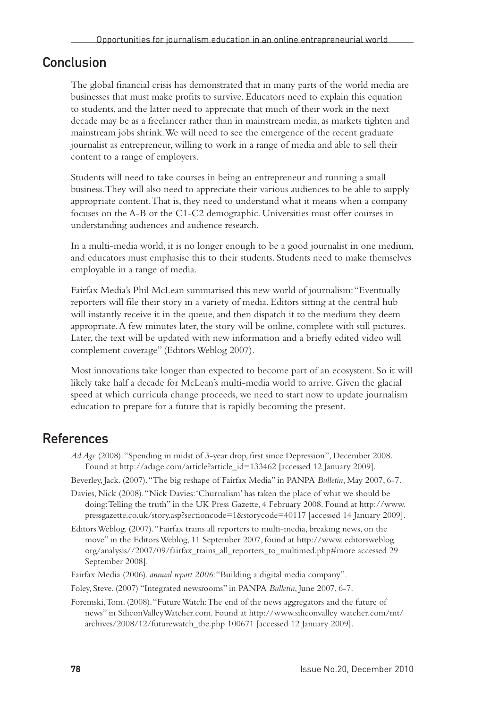#### Conclusion

The global financial crisis has demonstrated that in many parts of the world media are businesses that must make profits to survive. Educators need to explain this equation to students, and the latter need to appreciate that much of their work in the next decade may be as a freelancer rather than in mainstream media, as markets tighten and mainstream jobs shrink. We will need to see the emergence of the recent graduate journalist as entrepreneur, willing to work in a range of media and able to sell their content to a range of employers.

Students will need to take courses in being an entrepreneur and running a small business. They will also need to appreciate their various audiences to be able to supply appropriate content. That is, they need to understand what it means when a company focuses on the A-B or the C1-C2 demographic. Universities must offer courses in understanding audiences and audience research.

In a multi-media world, it is no longer enough to be a good journalist in one medium, and educators must emphasise this to their students. Students need to make themselves employable in a range of media.

Fairfax Media's Phil McLean summarised this new world of journalism: "Eventually reporters will file their story in a variety of media. Editors sitting at the central hub will instantly receive it in the queue, and then dispatch it to the medium they deem appropriate. A few minutes later, the story will be online, complete with still pictures. Later, the text will be updated with new information and a briefly edited video will complement coverage" (Editors Weblog 2007).

Most innovations take longer than expected to become part of an ecosystem. So it will likely take half a decade for McLean's multi-media world to arrive. Given the glacial speed at which curricula change proceeds, we need to start now to update journalism education to prepare for a future that is rapidly becoming the present.

#### References

- *Ad Age* (2008). "Spending in midst of 3-year drop, first since Depression", December 2008. Found at http://adage.com/article?article\_id=133462 [accessed 12 January 2009].
- Beverley, Jack. (2007). "The big reshape of Fairfax Media" in PANPA *Bulletin*, May 2007, 6-7.
- Davies, Nick (2008). "Nick Davies: 'Churnalism' has taken the place of what we should be doing: Telling the truth" in the UK Press Gazette, 4 February 2008. Found at http://www. pressgazette.co.uk/story.asp?sectioncode=1&storycode=40117 [accessed 14 January 2009].
- Editors Weblog. (2007). "Fairfax trains all reporters to multi-media, breaking news, on the move" in the Editors Weblog, 11 September 2007, found at http://www. editorsweblog. org/analysis//2007/09/fairfax\_trains\_all\_reporters\_to\_multimed.php#more accessed 29 September 2008].

Fairfax Media (2006). *annual report 2006*: "Building a digital media company".

Foley, Steve. (2007) "Integrated newsrooms" in PANPA *Bulletin*, June 2007, 6-7.

Foremski, Tom. (2008). "Future Watch: The end of the news aggregators and the future of news" in SiliconValleyWatcher.com. Found at http://www.siliconvalley watcher.com/mt/ archives/2008/12/futurewatch\_the.php 100671 [accessed 12 January 2009].